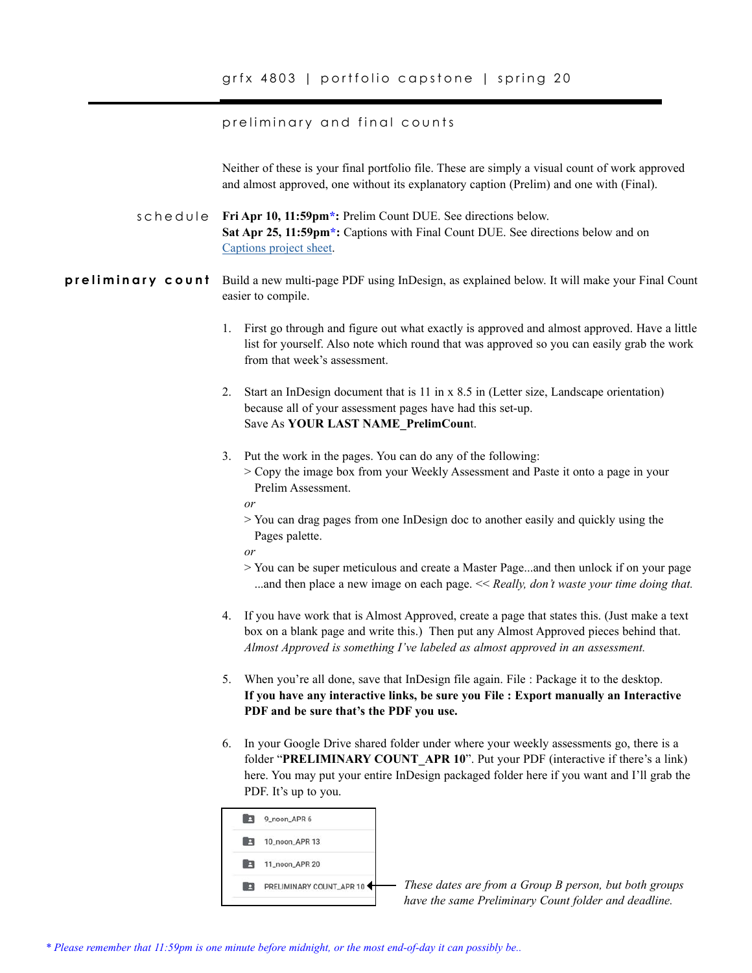## preliminary and final counts

Neither of these is your final portfolio file. These are simply a visual count of work approved and almost approved, one without its explanatory caption (Prelim) and one with (Final).

schedule Fri Apr 10, 11:59pm<sup>\*</sup>: Prelim Count DUE. See directions below. **Sat Apr 25, 11:59pm\*:** Captions with Final Count DUE. See directions below and on [Captions project sheet](http://www.nikkiarnell.net/uploads/4/1/3/8/4138035/captions_portfolio_spg20.pdf).

**preliminary count** Build a new multi-page PDF using InDesign, as explained below. It will make your Final Count easier to compile.

- 1. First go through and figure out what exactly is approved and almost approved. Have a little list for yourself. Also note which round that was approved so you can easily grab the work from that week's assessment.
- 2. Start an InDesign document that is 11 in x 8.5 in (Letter size, Landscape orientation) because all of your assessment pages have had this set-up. Save As **YOUR LAST NAME\_PrelimCoun**t.
- 3. Put the work in the pages. You can do any of the following:
	- > Copy the image box from your Weekly Assessment and Paste it onto a page in your Prelim Assessment.
	- *or*
	- > You can drag pages from one InDesign doc to another easily and quickly using the Pages palette.

*or* 

- > You can be super meticulous and create a Master Page...and then unlock if on your page ...and then place a new image on each page. << *Really, don't waste your time doing that.*
- 4. If you have work that is Almost Approved, create a page that states this. (Just make a text box on a blank page and write this.) Then put any Almost Approved pieces behind that. *Almost Approved is something I've labeled as almost approved in an assessment.*
- 5. When you're all done, save that InDesign file again. File : Package it to the desktop. **If you have any interactive links, be sure you File : Export manually an Interactive PDF and be sure that's the PDF you use.**
- 6. In your Google Drive shared folder under where your weekly assessments go, there is a folder "**PRELIMINARY COUNT\_APR 10**". Put your PDF (interactive if there's a link) here. You may put your entire InDesign packaged folder here if you want and I'll grab the PDF. It's up to you.



*These dates are from a Group B person, but both groups have the same Preliminary Count folder and deadline.*